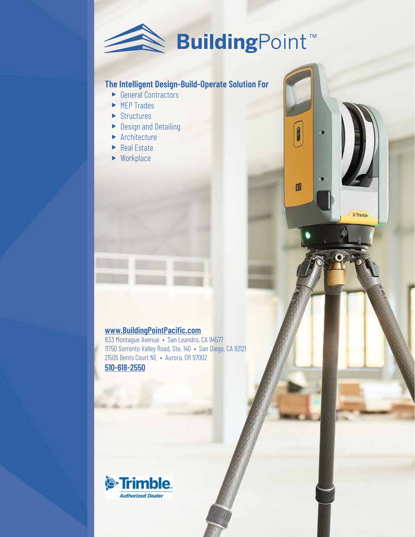

8

Ø

**S** Trimble

# **The Intelligent Design-Build-Operate Solution For**

- $\blacktriangleright$  General Contractors
- $\blacktriangleright$  MFP Trades
- $\blacktriangleright$  Structures
- $\blacktriangleright$  Design and Detailing
- $\blacktriangleright$  Architecture
- $\blacktriangleright$  Real Estate
- $\blacktriangleright$  Workplace

## **www.BuildingPointPacific.com**

833 Montague Avenue • San Leandro, CA 94577 11750 Sorrento Valley Road, Ste. 140 • San Diego, CA 92121 21505 Bents Court NE • Aurora, OR 97002 **510-618-2550**